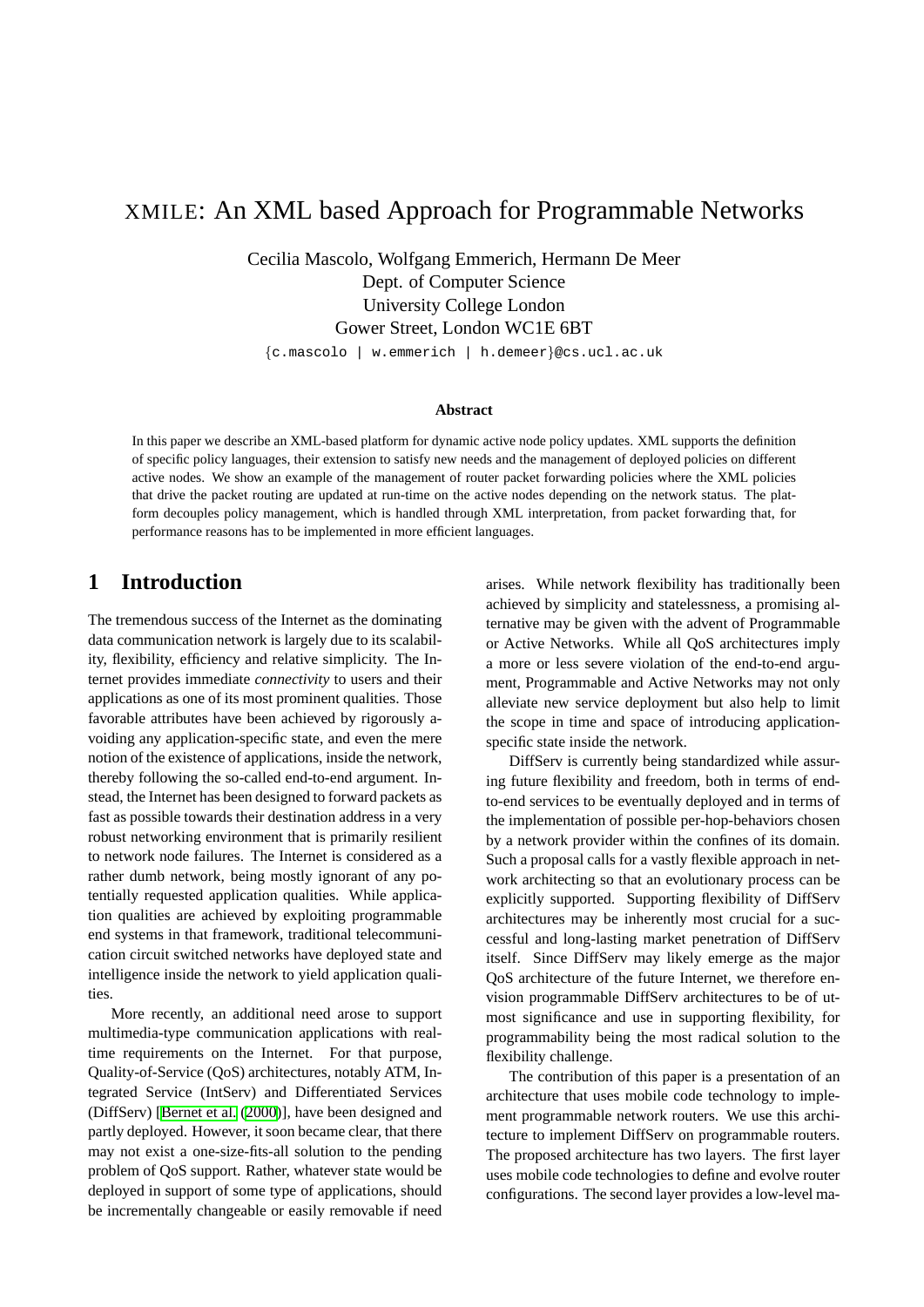# XMILE: An XML based Approach for Programmable Networks

Cecilia Mascolo, Wolfgang Emmerich, Hermann De Meer Dept. of Computer Science University College London Gower Street, London WC1E 6BT

{c.mascolo | w.emmerich | h.demeer}@cs.ucl.ac.uk

#### **Abstract**

In this paper we describe an XML-based platform for dynamic active node policy updates. XML supports the definition of specific policy languages, their extension to satisfy new needs and the management of deployed policies on different active nodes. We show an example of the management of router packet forwarding policies where the XML policies that drive the packet routing are updated at run-time on the active nodes depending on the network status. The platform decouples policy management, which is handled through XML interpretation, from packet forwarding that, for performance reasons has to be implemented in more efficient languages.

#### **1 Introduction**

The tremendous success of the Internet as the dominating data communication network is largely due to its scalability, flexibility, efficiency and relative simplicity. The Internet provides immediate *connectivity* to users and their applications as one of its most prominent qualities. Those favorable attributes have been achieved by rigorously avoiding any application-specific state, and even the mere notion of the existence of applications, inside the network, thereby following the so-called end-to-end argument. Instead, the Internet has been designed to forward packets as fast as possible towards their destination address in a very robust networking environment that is primarily resilient to network node failures. The Internet is considered as a rather dumb network, being mostly ignorant of any potentially requested application qualities. While application qualities are achieved by exploiting programmable end systems in that framework, traditional telecommunication circuit switched networks have deployed state and intelligence inside the network to yield application qualities.

More recently, an additional need arose to support multimedia-type communication applications with realtime requirements on the Internet. For that purpose, Quality-of-Service (QoS) architectures, notably ATM, Integrated Service (IntServ) and Differentiated Services (DiffServ) [[Bernet et al.](#page-6-0) [\(2000](#page-6-0))], have been designed and partly deployed. However, it soon became clear, that there may not exist a one-size-fits-all solution to the pending problem of QoS support. Rather, whatever state would be deployed in support of some type of applications, should be incrementally changeable or easily removable if need arises. While network flexibility has traditionally been achieved by simplicity and statelessness, a promising alternative may be given with the advent of Programmable or Active Networks. While all QoS architectures imply a more or less severe violation of the end-to-end argument, Programmable and Active Networks may not only alleviate new service deployment but also help to limit the scope in time and space of introducing applicationspecific state inside the network.

DiffServ is currently being standardized while assuring future flexibility and freedom, both in terms of endto-end services to be eventually deployed and in terms of the implementation of possible per-hop-behaviors chosen by a network provider within the confines of its domain. Such a proposal calls for a vastly flexible approach in network architecting so that an evolutionary process can be explicitly supported. Supporting flexibility of DiffServ architectures may be inherently most crucial for a successful and long-lasting market penetration of DiffServ itself. Since DiffServ may likely emerge as the major QoS architecture of the future Internet, we therefore envision programmable DiffServ architectures to be of utmost significance and use in supporting flexibility, for programmability being the most radical solution to the flexibility challenge.

The contribution of this paper is a presentation of an architecture that uses mobile code technology to implement programmable network routers. We use this architecture to implement DiffServ on programmable routers. The proposed architecture has two layers. The first layer uses mobile code technologies to define and evolve router configurations. The second layer provides a low-level ma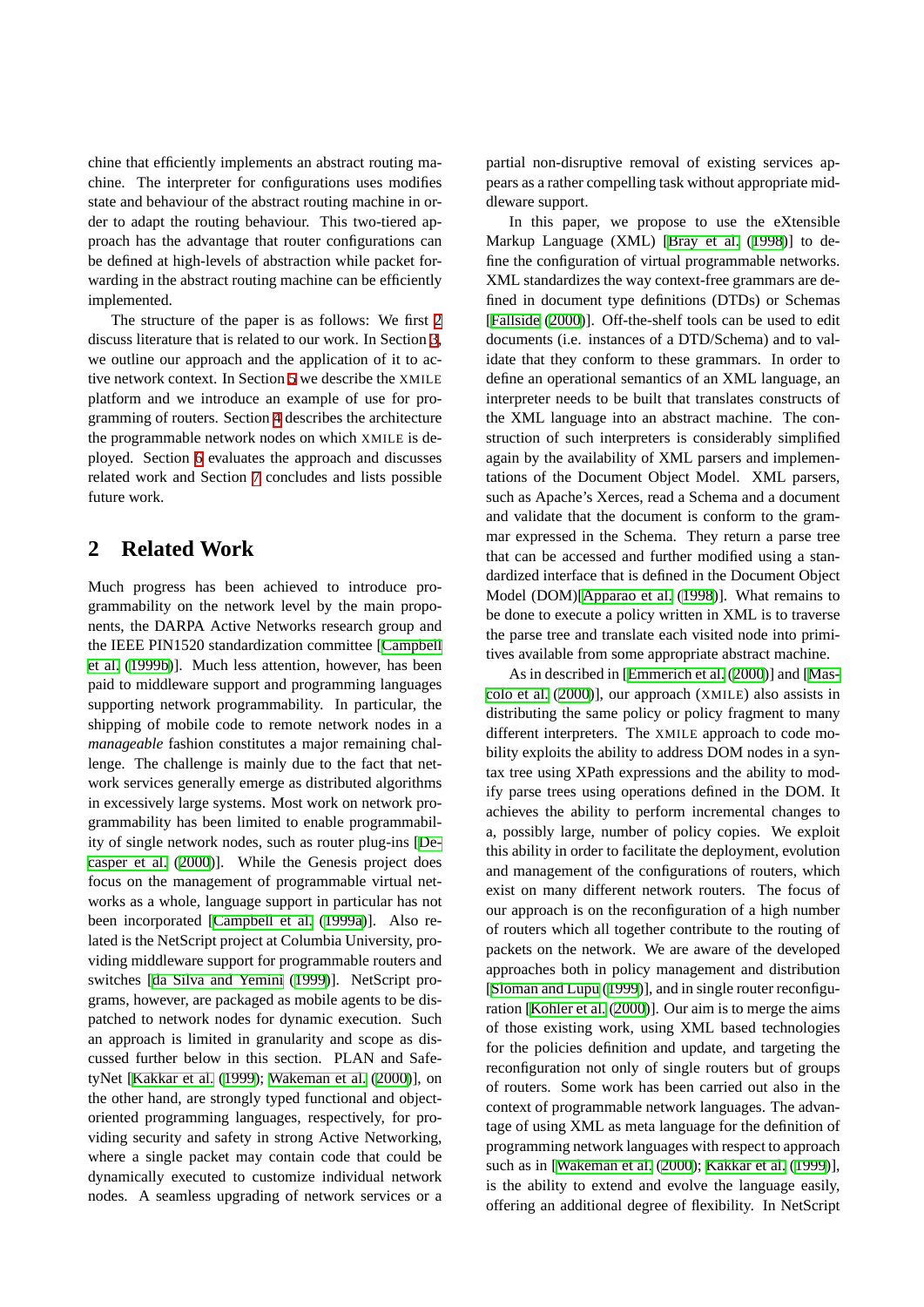chine that efficiently implements an abstract routing machine. The interpreter for configurations uses modifies state and behaviour of the abstract routing machine in order to adapt the routing behaviour. This two-tiered approach has the advantage that router configurations can be defined at high-levels of abstraction while packet forwarding in the abstract routing machine can be efficiently implemented.

The structure of the paper is as follows: We first [2](#page-1-0) discuss literature that is related to our work. In Section [3](#page-2-0), we outline our approach and the application of it to active network context. In Section [5](#page-2-1) we describe the XMILE platform and we introduce an example of use for programming of routers. Section [4](#page-2-2) describes the architecture the programmable network nodes on which XMILE is deployed. Section [6](#page-5-0) evaluates the approach and discusses related work and Section [7](#page-5-1) concludes and lists possible future work.

# <span id="page-1-0"></span>**2 Related Work**

Much progress has been achieved to introduce programmability on the network level by the main proponents, the DARPA Active Networks research group and the IEEE PIN1520 standardization committee [\[Campbell](#page-6-1) [et al.](#page-6-1) ([1999b\)](#page-6-1)]. Much less attention, however, has been paid to middleware support and programming languages supporting network programmability. In particular, the shipping of mobile code to remote network nodes in a *manageable* fashion constitutes a major remaining challenge. The challenge is mainly due to the fact that network services generally emerge as distributed algorithms in excessively large systems. Most work on network programmability has been limited to enable programmability of single network nodes, such as router plug-ins [[De](#page-6-2)[casper et al.](#page-6-2) [\(2000](#page-6-2))]. While the Genesis project does focus on the management of programmable virtual networks as a whole, language support in particular has not been incorporated [[Campbell et al.](#page-6-3) [\(1999a](#page-6-3))]. Also related is the NetScript project at Columbia University, providing middleware support for programmable routers and switches [\[da Silva and Yemini](#page-6-4) ([1999\)](#page-6-4)]. NetScript programs, however, are packaged as mobile agents to be dispatched to network nodes for dynamic execution. Such an approach is limited in granularity and scope as discussed further below in this section. PLAN and SafetyNet [\[Kakkar et al.](#page-6-5) [\(1999](#page-6-5)); [Wakeman et al.](#page-7-0) ([2000](#page-7-0))], on the other hand, are strongly typed functional and objectoriented programming languages, respectively, for providing security and safety in strong Active Networking, where a single packet may contain code that could be dynamically executed to customize individual network nodes. A seamless upgrading of network services or a partial non-disruptive removal of existing services appears as a rather compelling task without appropriate middleware support.

In this paper, we propose to use the eXtensible Markup Language (XML) [[Bray et al.](#page-6-6) ([1998\)](#page-6-6)] to define the configuration of virtual programmable networks. XML standardizes the way context-free grammars are defined in document type definitions (DTDs) or Schemas [[Fallside](#page-6-7) [\(2000](#page-6-7))]. Off-the-shelf tools can be used to edit documents (i.e. instances of a DTD/Schema) and to validate that they conform to these grammars. In order to define an operational semantics of an XML language, an interpreter needs to be built that translates constructs of the XML language into an abstract machine. The construction of such interpreters is considerably simplified again by the availability of XML parsers and implementations of the Document Object Model. XML parsers, such as Apache's Xerces, read a Schema and a document and validate that the document is conform to the grammar expressed in the Schema. They return a parse tree that can be accessed and further modified using a standardized interface that is defined in the Document Object Model (DOM)[[Apparao et al.](#page-6-8) ([1998\)](#page-6-8)]. What remains to be done to execute a policy written in XML is to traverse the parse tree and translate each visited node into primitives available from some appropriate abstract machine.

As in described in [[Emmerich et al.](#page-6-9) ([2000](#page-6-9))] and [[Mas](#page-6-10)[colo et al.](#page-6-10) ([2000\)](#page-6-10)], our approach (XMILE) also assists in distributing the same policy or policy fragment to many different interpreters. The XMILE approach to code mobility exploits the ability to address DOM nodes in a syntax tree using XPath expressions and the ability to modify parse trees using operations defined in the DOM. It achieves the ability to perform incremental changes to a, possibly large, number of policy copies. We exploit this ability in order to facilitate the deployment, evolution and management of the configurations of routers, which exist on many different network routers. The focus of our approach is on the reconfiguration of a high number of routers which all together contribute to the routing of packets on the network. We are aware of the developed approaches both in policy management and distribution [[Sloman and Lupu](#page-7-1) ([1999\)](#page-7-1)], and in single router reconfiguration [[Kohler et al.](#page-6-11) ([2000\)](#page-6-11)]. Our aim is to merge the aims of those existing work, using XML based technologies for the policies definition and update, and targeting the reconfiguration not only of single routers but of groups of routers. Some work has been carried out also in the context of programmable network languages. The advantage of using XML as meta language for the definition of programming network languages with respect to approach such as in [[Wakeman et al.](#page-7-0) [\(2000](#page-7-0)); [Kakkar et al.](#page-6-5) [\(1999](#page-6-5))], is the ability to extend and evolve the language easily, offering an additional degree of flexibility. In NetScript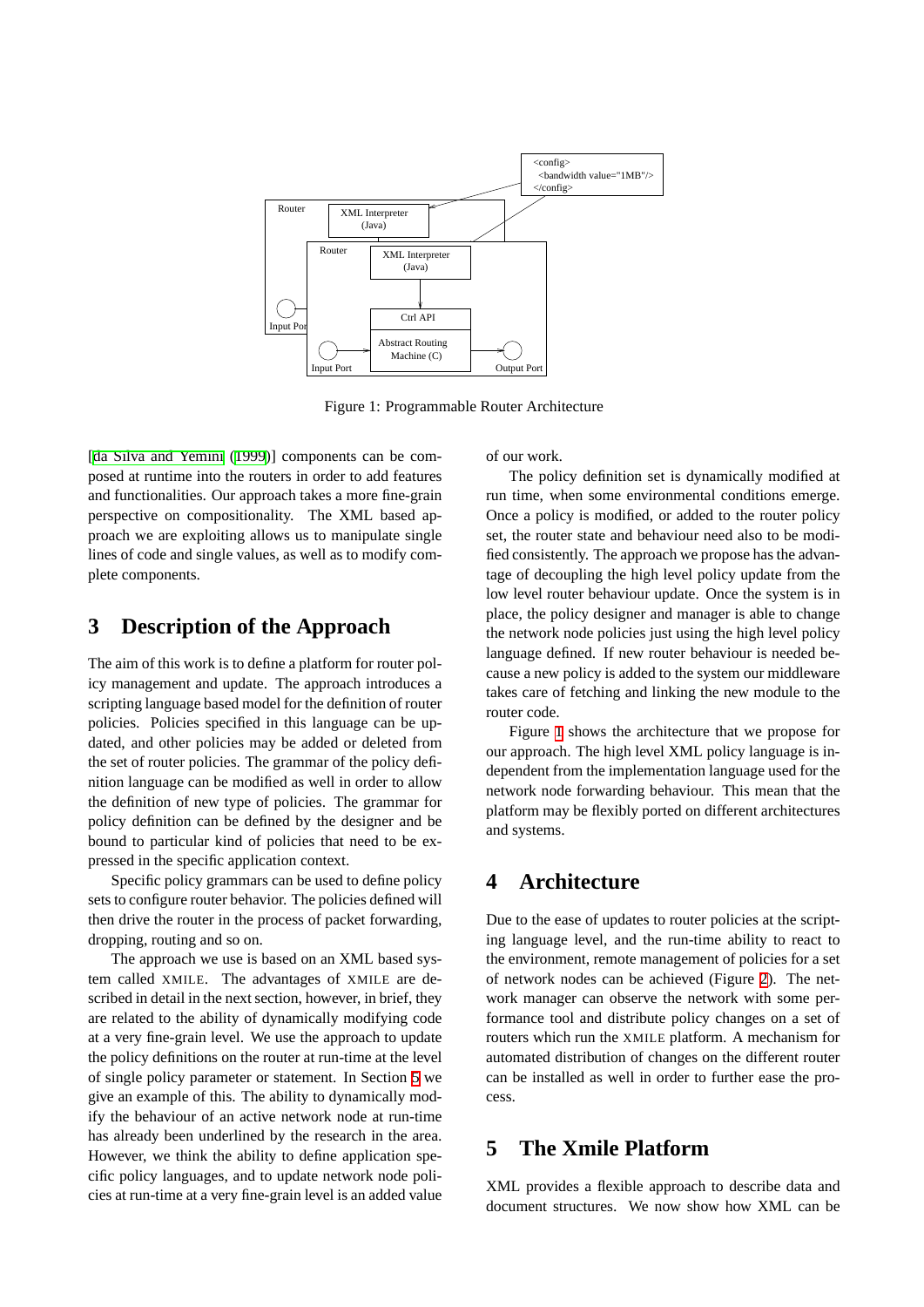

<span id="page-2-3"></span>Figure 1: Programmable Router Architecture

[\[da Silva and Yemini](#page-6-4) [\(1999](#page-6-4))] components can be composed at runtime into the routers in order to add features and functionalities. Our approach takes a more fine-grain perspective on compositionality. The XML based approach we are exploiting allows us to manipulate single lines of code and single values, as well as to modify complete components.

#### <span id="page-2-0"></span>**3 Description of the Approach**

The aim of this work is to define a platform for router policy management and update. The approach introduces a scripting language based model for the definition of router policies. Policies specified in this language can be updated, and other policies may be added or deleted from the set of router policies. The grammar of the policy definition language can be modified as well in order to allow the definition of new type of policies. The grammar for policy definition can be defined by the designer and be bound to particular kind of policies that need to be expressed in the specific application context.

Specific policy grammars can be used to define policy sets to configure router behavior. The policies defined will then drive the router in the process of packet forwarding, dropping, routing and so on.

The approach we use is based on an XML based system called XMILE. The advantages of XMILE are described in detail in the next section, however, in brief, they are related to the ability of dynamically modifying code at a very fine-grain level. We use the approach to update the policy definitions on the router at run-time at the level of single policy parameter or statement. In Section [5](#page-2-1) we give an example of this. The ability to dynamically modify the behaviour of an active network node at run-time has already been underlined by the research in the area. However, we think the ability to define application specific policy languages, and to update network node policies at run-time at a very fine-grain level is an added value of our work.

The policy definition set is dynamically modified at run time, when some environmental conditions emerge. Once a policy is modified, or added to the router policy set, the router state and behaviour need also to be modified consistently. The approach we propose has the advantage of decoupling the high level policy update from the low level router behaviour update. Once the system is in place, the policy designer and manager is able to change the network node policies just using the high level policy language defined. If new router behaviour is needed because a new policy is added to the system our middleware takes care of fetching and linking the new module to the router code.

Figure [1](#page-2-3) shows the architecture that we propose for our approach. The high level XML policy language is independent from the implementation language used for the network node forwarding behaviour. This mean that the platform may be flexibly ported on different architectures and systems.

# <span id="page-2-2"></span>**4 Architecture**

Due to the ease of updates to router policies at the scripting language level, and the run-time ability to react to the environment, remote management of policies for a set of network nodes can be achieved (Figure [2\)](#page-3-0). The network manager can observe the network with some performance tool and distribute policy changes on a set of routers which run the XMILE platform. A mechanism for automated distribution of changes on the different router can be installed as well in order to further ease the process.

### <span id="page-2-1"></span>**5 The Xmile Platform**

XML provides a flexible approach to describe data and document structures. We now show how XML can be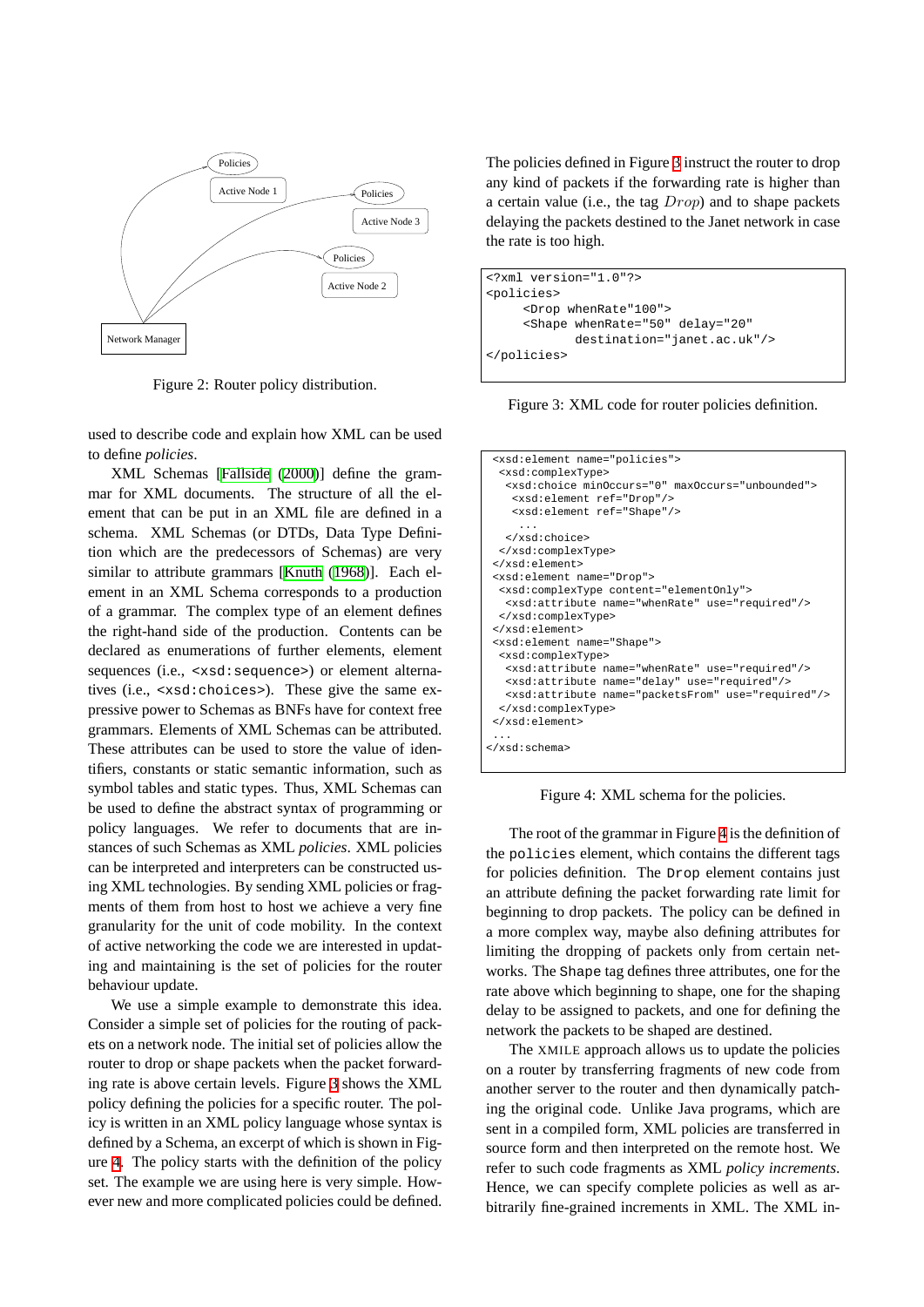

<span id="page-3-0"></span>Figure 2: Router policy distribution.

used to describe code and explain how XML can be used to define *policies*.

XML Schemas [[Fallside](#page-6-7) ([2000\)](#page-6-7)] define the grammar for XML documents. The structure of all the element that can be put in an XML file are defined in a schema. XML Schemas (or DTDs, Data Type Definition which are the predecessors of Schemas) are very similar to attribute grammars [\[Knuth](#page-6-12) ([1968\)](#page-6-12)]. Each element in an XML Schema corresponds to a production of a grammar. The complex type of an element defines the right-hand side of the production. Contents can be declared as enumerations of further elements, element sequences (i.e., <xsd:sequence>) or element alternatives (i.e., <xsd:choices>). These give the same expressive power to Schemas as BNFs have for context free grammars. Elements of XML Schemas can be attributed. These attributes can be used to store the value of identifiers, constants or static semantic information, such as symbol tables and static types. Thus, XML Schemas can be used to define the abstract syntax of programming or policy languages. We refer to documents that are instances of such Schemas as XML *policies*. XML policies can be interpreted and interpreters can be constructed using XML technologies. By sending XML policies or fragments of them from host to host we achieve a very fine granularity for the unit of code mobility. In the context of active networking the code we are interested in updating and maintaining is the set of policies for the router behaviour update.

We use a simple example to demonstrate this idea. Consider a simple set of policies for the routing of packets on a network node. The initial set of policies allow the router to drop or shape packets when the packet forwarding rate is above certain levels. Figure [3](#page-3-1) shows the XML policy defining the policies for a specific router. The policy is written in an XML policy language whose syntax is defined by a Schema, an excerpt of which is shown in Figure [4.](#page-3-2) The policy starts with the definition of the policy set. The example we are using here is very simple. However new and more complicated policies could be defined. The policies defined in Figure [3](#page-3-1) instruct the router to drop any kind of packets if the forwarding rate is higher than a certain value (i.e., the tag Drop) and to shape packets delaying the packets destined to the Janet network in case the rate is too high.

```
<?xml version="1.0"?>
<policies>
     <Drop whenRate"100">
     <Shape whenRate="50" delay="20"
            destination="janet.ac.uk"/>
</policies>
```
<span id="page-3-1"></span>Figure 3: XML code for router policies definition.

```
<xsd:element name="policies">
  <xsd:complexType>
  <xsd:choice minOccurs="0" maxOccurs="unbounded">
    <xsd:element ref="Drop"/>
    <xsd:element ref="Shape"/>
     ...
  </xsd:choice>
  </xsd:complexType>
</xsd:element>
<xsd:element name="Drop">
  <xsd:complexType content="elementOnly">
   <xsd:attribute name="whenRate" use="required"/>
  </xsd:complexType>
</xsd:element>
<xsd:element name="Shape">
  <xsd:complexType>
   <xsd:attribute name="whenRate" use="required"/>
   <xsd:attribute name="delay" use="required"/>
  <xsd:attribute name="packetsFrom" use="required"/>
  </xsd:complexType>
</xsd:element>
 ...
</xsd:schema>
```
<span id="page-3-2"></span>Figure 4: XML schema for the policies.

The root of the grammar in Figure [4](#page-3-2) is the definition of the policies element, which contains the different tags for policies definition. The Drop element contains just an attribute defining the packet forwarding rate limit for beginning to drop packets. The policy can be defined in a more complex way, maybe also defining attributes for limiting the dropping of packets only from certain networks. The Shape tag defines three attributes, one for the rate above which beginning to shape, one for the shaping delay to be assigned to packets, and one for defining the network the packets to be shaped are destined.

The XMILE approach allows us to update the policies on a router by transferring fragments of new code from another server to the router and then dynamically patching the original code. Unlike Java programs, which are sent in a compiled form, XML policies are transferred in source form and then interpreted on the remote host. We refer to such code fragments as XML *policy increments*. Hence, we can specify complete policies as well as arbitrarily fine-grained increments in XML. The XML in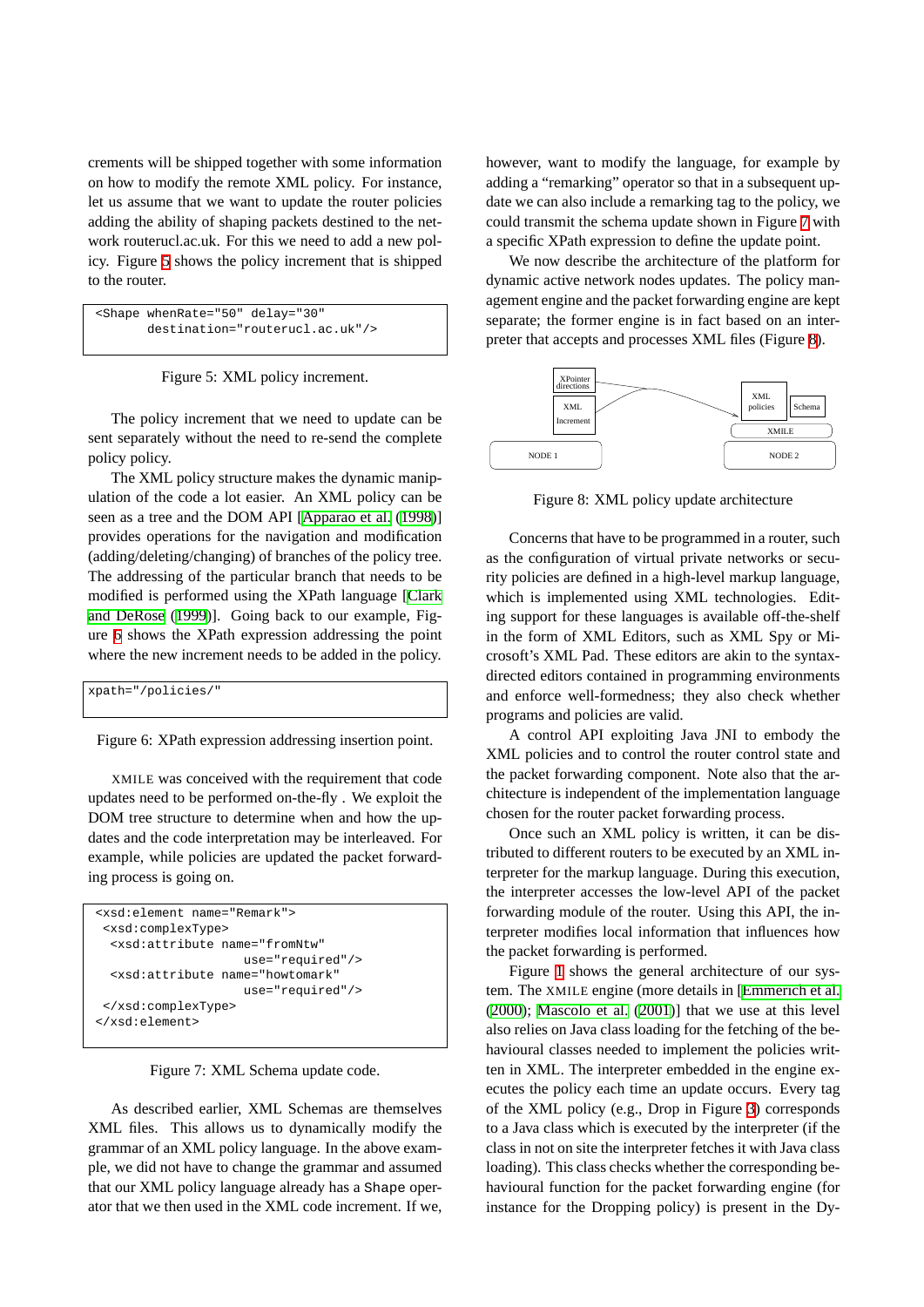crements will be shipped together with some information on how to modify the remote XML policy. For instance, let us assume that we want to update the router policies adding the ability of shaping packets destined to the network routerucl.ac.uk. For this we need to add a new policy. Figure [5](#page-4-0) shows the policy increment that is shipped to the router.

```
<Shape whenRate="50" delay="30"
      destination="routerucl.ac.uk"/>
```
<span id="page-4-0"></span>Figure 5: XML policy increment.

The policy increment that we need to update can be sent separately without the need to re-send the complete policy policy.

The XML policy structure makes the dynamic manipulation of the code a lot easier. An XML policy can be seen as a tree and the DOM API [[Apparao et al.](#page-6-8) [\(1998](#page-6-8))] provides operations for the navigation and modification (adding/deleting/changing) of branches of the policy tree. The addressing of the particular branch that needs to be modified is performed using the XPath language [[Clark](#page-6-13) [and DeRose](#page-6-13) [\(1999](#page-6-13))]. Going back to our example, Figure [6](#page-4-1) shows the XPath expression addressing the point where the new increment needs to be added in the policy.

```
xpath="/policies/"
```
<span id="page-4-1"></span>Figure 6: XPath expression addressing insertion point.

XMILE was conceived with the requirement that code updates need to be performed on-the-fly . We exploit the DOM tree structure to determine when and how the updates and the code interpretation may be interleaved. For example, while policies are updated the packet forwarding process is going on.



<span id="page-4-2"></span>Figure 7: XML Schema update code.

As described earlier, XML Schemas are themselves XML files. This allows us to dynamically modify the grammar of an XML policy language. In the above example, we did not have to change the grammar and assumed that our XML policy language already has a Shape operator that we then used in the XML code increment. If we, however, want to modify the language, for example by adding a "remarking" operator so that in a subsequent update we can also include a remarking tag to the policy, we could transmit the schema update shown in Figure [7](#page-4-2) with a specific XPath expression to define the update point.

We now describe the architecture of the platform for dynamic active network nodes updates. The policy management engine and the packet forwarding engine are kept separate; the former engine is in fact based on an interpreter that accepts and processes XML files (Figure [8](#page-4-3)).



<span id="page-4-3"></span>Figure 8: XML policy update architecture

Concerns that have to be programmed in a router, such as the configuration of virtual private networks or security policies are defined in a high-level markup language, which is implemented using XML technologies. Editing support for these languages is available off-the-shelf in the form of XML Editors, such as XML Spy or Microsoft's XML Pad. These editors are akin to the syntaxdirected editors contained in programming environments and enforce well-formedness; they also check whether programs and policies are valid.

A control API exploiting Java JNI to embody the XML policies and to control the router control state and the packet forwarding component. Note also that the architecture is independent of the implementation language chosen for the router packet forwarding process.

Once such an XML policy is written, it can be distributed to different routers to be executed by an XML interpreter for the markup language. During this execution, the interpreter accesses the low-level API of the packet forwarding module of the router. Using this API, the interpreter modifies local information that influences how the packet forwarding is performed.

Figure [1](#page-2-3) shows the general architecture of our system. The XMILE engine (more details in [\[Emmerich et al.](#page-6-9) ([2000](#page-6-9)); [Mascolo et al.](#page-6-14) [\(2001\)](#page-6-14)] that we use at this level also relies on Java class loading for the fetching of the behavioural classes needed to implement the policies written in XML. The interpreter embedded in the engine executes the policy each time an update occurs. Every tag of the XML policy (e.g., Drop in Figure [3\)](#page-3-1) corresponds to a Java class which is executed by the interpreter (if the class in not on site the interpreter fetches it with Java class loading). This class checks whether the corresponding behavioural function for the packet forwarding engine (for instance for the Dropping policy) is present in the Dy-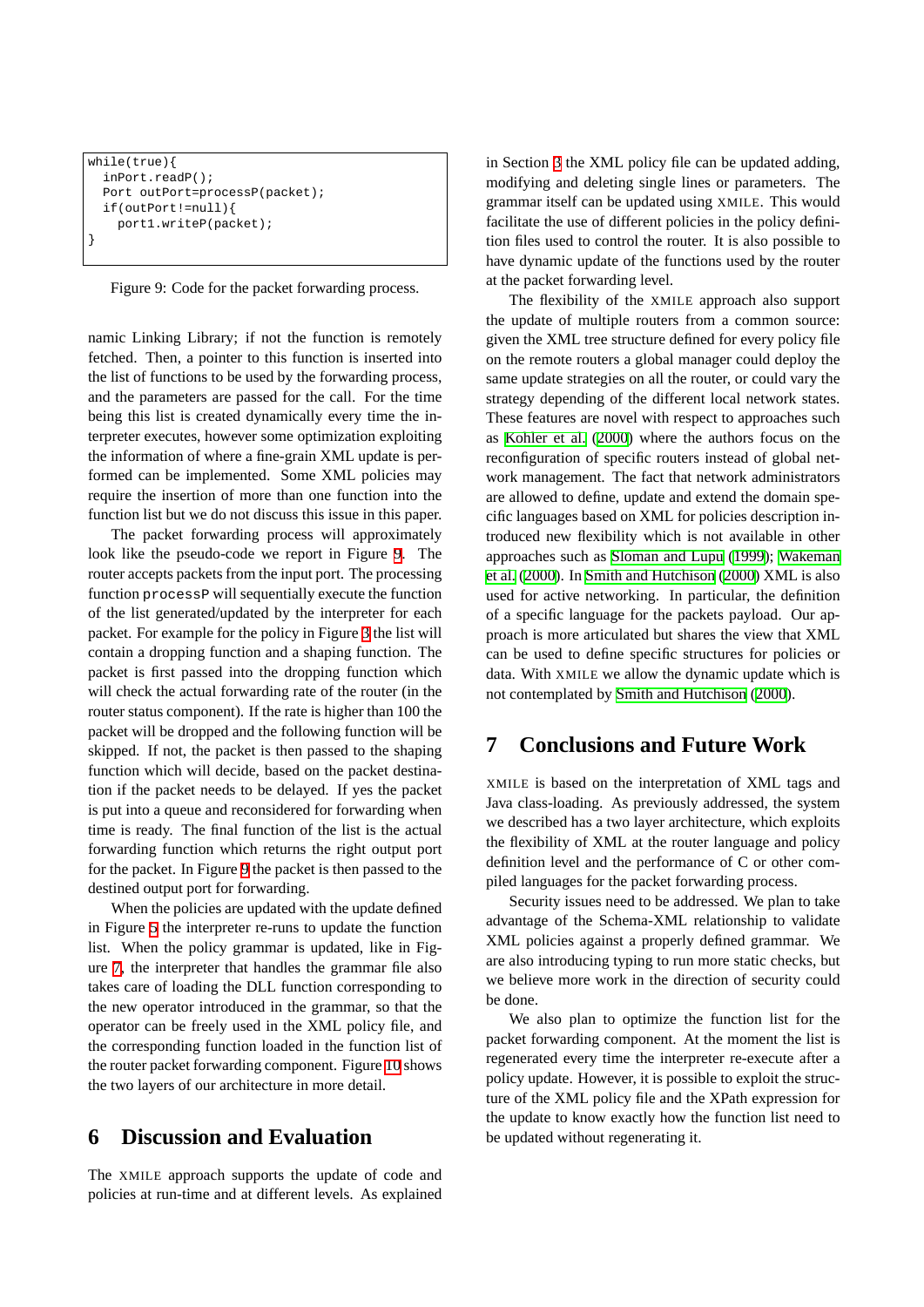```
while(true){
 inPort.readP();
 Port outPort=processP(packet);
  if(outPort!=null){
    port1.writeP(packet);
}
```
<span id="page-5-2"></span>Figure 9: Code for the packet forwarding process.

namic Linking Library; if not the function is remotely fetched. Then, a pointer to this function is inserted into the list of functions to be used by the forwarding process, and the parameters are passed for the call. For the time being this list is created dynamically every time the interpreter executes, however some optimization exploiting the information of where a fine-grain XML update is performed can be implemented. Some XML policies may require the insertion of more than one function into the function list but we do not discuss this issue in this paper.

The packet forwarding process will approximately look like the pseudo-code we report in Figure [9.](#page-5-2) The router accepts packets from the input port. The processing function processP will sequentially execute the function of the list generated/updated by the interpreter for each packet. For example for the policy in Figure [3](#page-3-1) the list will contain a dropping function and a shaping function. The packet is first passed into the dropping function which will check the actual forwarding rate of the router (in the router status component). If the rate is higher than 100 the packet will be dropped and the following function will be skipped. If not, the packet is then passed to the shaping function which will decide, based on the packet destination if the packet needs to be delayed. If yes the packet is put into a queue and reconsidered for forwarding when time is ready. The final function of the list is the actual forwarding function which returns the right output port for the packet. In Figure [9](#page-5-2) the packet is then passed to the destined output port for forwarding.

When the policies are updated with the update defined in Figure [5](#page-4-0) the interpreter re-runs to update the function list. When the policy grammar is updated, like in Figure [7,](#page-4-2) the interpreter that handles the grammar file also takes care of loading the DLL function corresponding to the new operator introduced in the grammar, so that the operator can be freely used in the XML policy file, and the corresponding function loaded in the function list of the router packet forwarding component. Figure [10](#page-6-15) shows the two layers of our architecture in more detail.

#### <span id="page-5-0"></span>**6 Discussion and Evaluation**

The XMILE approach supports the update of code and policies at run-time and at different levels. As explained in Section [3](#page-2-0) the XML policy file can be updated adding, modifying and deleting single lines or parameters. The grammar itself can be updated using XMILE. This would facilitate the use of different policies in the policy definition files used to control the router. It is also possible to have dynamic update of the functions used by the router at the packet forwarding level.

The flexibility of the XMILE approach also support the update of multiple routers from a common source: given the XML tree structure defined for every policy file on the remote routers a global manager could deploy the same update strategies on all the router, or could vary the strategy depending of the different local network states. These features are novel with respect to approaches such as [Kohler et al.](#page-6-11) ([2000\)](#page-6-11) where the authors focus on the reconfiguration of specific routers instead of global network management. The fact that network administrators are allowed to define, update and extend the domain specific languages based on XML for policies description introduced new flexibility which is not available in other approaches such as [Sloman and Lupu](#page-7-1) ([1999\)](#page-7-1); [Wakeman](#page-7-0) [et al.](#page-7-0) ([2000\)](#page-7-0). In [Smith and Hutchison](#page-7-2) ([2000](#page-7-2)) XML is also used for active networking. In particular, the definition of a specific language for the packets payload. Our approach is more articulated but shares the view that XML can be used to define specific structures for policies or data. With XMILE we allow the dynamic update which is not contemplated by [Smith and Hutchison](#page-7-2) [\(2000\)](#page-7-2).

# <span id="page-5-1"></span>**7 Conclusions and Future Work**

XMILE is based on the interpretation of XML tags and Java class-loading. As previously addressed, the system we described has a two layer architecture, which exploits the flexibility of XML at the router language and policy definition level and the performance of C or other compiled languages for the packet forwarding process.

Security issues need to be addressed. We plan to take advantage of the Schema-XML relationship to validate XML policies against a properly defined grammar. We are also introducing typing to run more static checks, but we believe more work in the direction of security could be done.

We also plan to optimize the function list for the packet forwarding component. At the moment the list is regenerated every time the interpreter re-execute after a policy update. However, it is possible to exploit the structure of the XML policy file and the XPath expression for the update to know exactly how the function list need to be updated without regenerating it.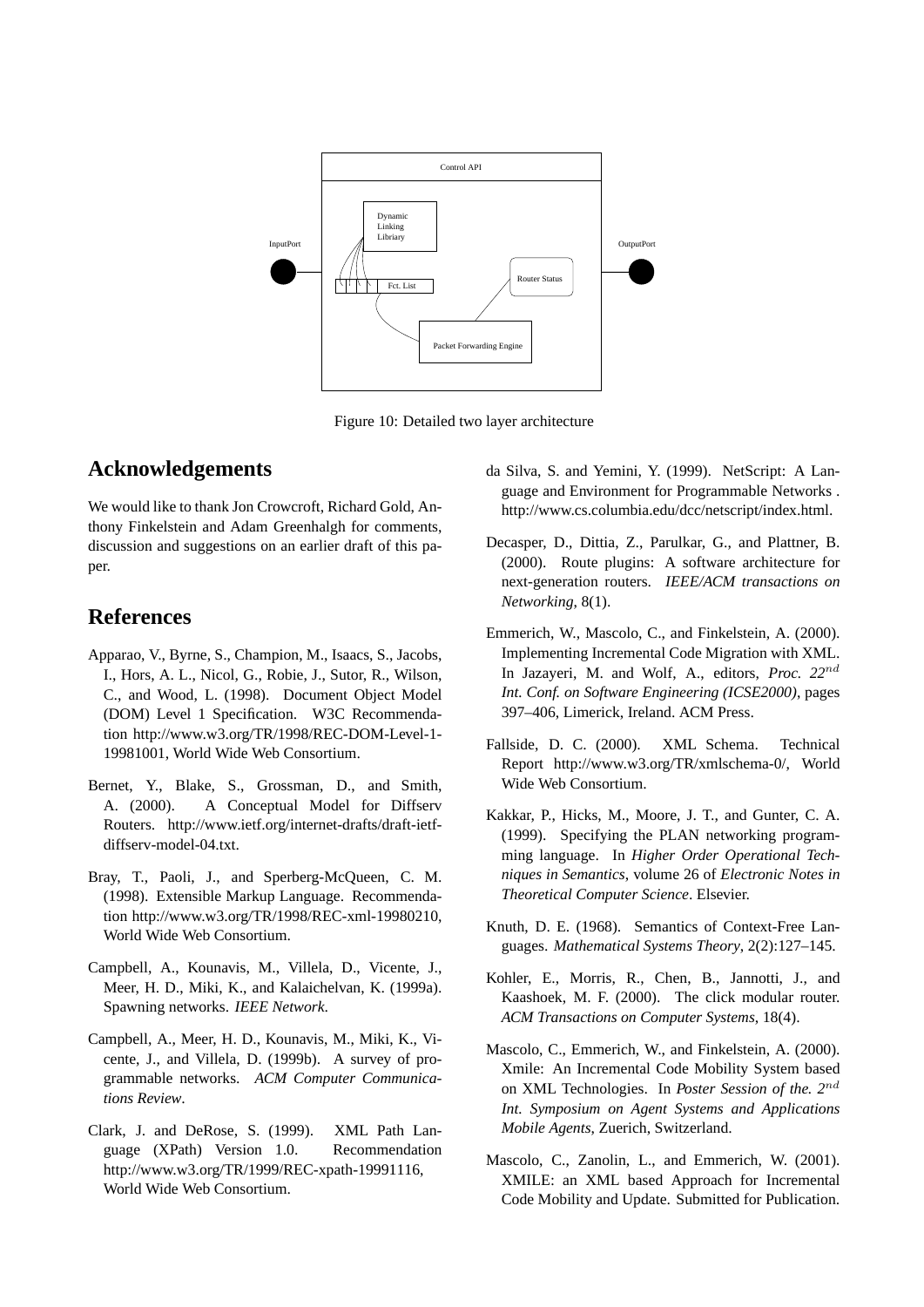

<span id="page-6-15"></span>Figure 10: Detailed two layer architecture

### **Acknowledgements**

We would like to thank Jon Crowcroft, Richard Gold, Anthony Finkelstein and Adam Greenhalgh for comments, discussion and suggestions on an earlier draft of this paper.

# **References**

- <span id="page-6-8"></span>Apparao, V., Byrne, S., Champion, M., Isaacs, S., Jacobs, I., Hors, A. L., Nicol, G., Robie, J., Sutor, R., Wilson, C., and Wood, L. (1998). Document Object Model (DOM) Level 1 Specification. W3C Recommendation http://www.w3.org/TR/1998/REC-DOM-Level-1- 19981001, World Wide Web Consortium.
- <span id="page-6-0"></span>Bernet, Y., Blake, S., Grossman, D., and Smith, A. (2000). A Conceptual Model for Diffserv Routers. http://www.ietf.org/internet-drafts/draft-ietfdiffserv-model-04.txt.
- <span id="page-6-6"></span>Bray, T., Paoli, J., and Sperberg-McQueen, C. M. (1998). Extensible Markup Language. Recommendation http://www.w3.org/TR/1998/REC-xml-19980210, World Wide Web Consortium.
- <span id="page-6-3"></span>Campbell, A., Kounavis, M., Villela, D., Vicente, J., Meer, H. D., Miki, K., and Kalaichelvan, K. (1999a). Spawning networks. *IEEE Network*.
- <span id="page-6-1"></span>Campbell, A., Meer, H. D., Kounavis, M., Miki, K., Vicente, J., and Villela, D. (1999b). A survey of programmable networks. *ACM Computer Communications Review*.
- <span id="page-6-13"></span>Clark, J. and DeRose, S. (1999). XML Path Language (XPath) Version 1.0. Recommendation http://www.w3.org/TR/1999/REC-xpath-19991116, World Wide Web Consortium.
- <span id="page-6-4"></span>da Silva, S. and Yemini, Y. (1999). NetScript: A Language and Environment for Programmable Networks . http://www.cs.columbia.edu/dcc/netscript/index.html.
- <span id="page-6-2"></span>Decasper, D., Dittia, Z., Parulkar, G., and Plattner, B. (2000). Route plugins: A software architecture for next-generation routers. *IEEE/ACM transactions on Networking*, 8(1).
- <span id="page-6-9"></span>Emmerich, W., Mascolo, C., and Finkelstein, A. (2000). Implementing Incremental Code Migration with XML. In Jazayeri, M. and Wolf, A., editors, *Proc. 22*nd *Int. Conf. on Software Engineering (ICSE2000)*, pages 397–406, Limerick, Ireland. ACM Press.
- <span id="page-6-7"></span>Fallside, D. C. (2000). XML Schema. Technical Report http://www.w3.org/TR/xmlschema-0/, World Wide Web Consortium.
- <span id="page-6-5"></span>Kakkar, P., Hicks, M., Moore, J. T., and Gunter, C. A. (1999). Specifying the PLAN networking programming language. In *Higher Order Operational Techniques in Semantics*, volume 26 of *Electronic Notes in Theoretical Computer Science*. Elsevier.
- <span id="page-6-12"></span>Knuth, D. E. (1968). Semantics of Context-Free Languages. *Mathematical Systems Theory*, 2(2):127–145.
- <span id="page-6-11"></span>Kohler, E., Morris, R., Chen, B., Jannotti, J., and Kaashoek, M. F. (2000). The click modular router. *ACM Transactions on Computer Systems*, 18(4).
- <span id="page-6-10"></span>Mascolo, C., Emmerich, W., and Finkelstein, A. (2000). Xmile: An Incremental Code Mobility System based on XML Technologies. In *Poster Session of the. 2*nd *Int. Symposium on Agent Systems and Applications Mobile Agents*, Zuerich, Switzerland.
- <span id="page-6-14"></span>Mascolo, C., Zanolin, L., and Emmerich, W. (2001). XMILE: an XML based Approach for Incremental Code Mobility and Update. Submitted for Publication.